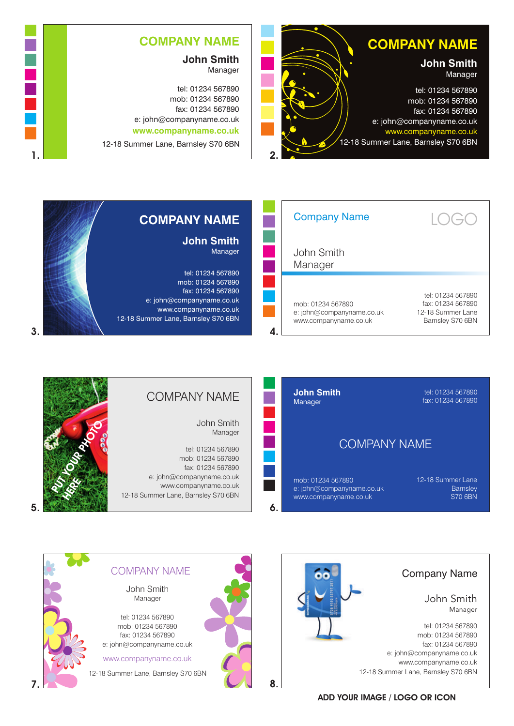

## **COMPANY NAME**

**John Smith** Manager

tel: 01234 567890 mob: 01234 567890 fax: 01234 567890 e: john@companyname.co.uk **www.companyname.co.uk**

12-18 Summer Lane, Barnsley S70 6BN

| <b>Company Name</b>                                                     | $\vert$ ( )<br>$\left(\begin{array}{c} - \end{array}\right)$                    |
|-------------------------------------------------------------------------|---------------------------------------------------------------------------------|
| John Smith<br>Manager                                                   |                                                                                 |
| mob: 01234 567890<br>e: john@companyname.co.uk<br>www.companyname.co.uk | tel: 01234 567890<br>fax: 01234 567890<br>12-18 Summer Lane<br>Barnsley S70 6BN |

## **COMPANY NAME John Smith** Manager

tel: 01234 567890 mob: 01234 567890 fax: 01234 567890 e: john@companyname.co.uk www.companyname.co.uk 12-18 Summer Lane, Barnsley S70 6BN

1.



## COMPANY NAME

John Smith Manager

tel: 01234 567890 mob: 01234 567890 fax: 01234 567890 e: john@companyname.co.uk www.companyname.co.uk 12-18 Summer Lane, Barnsley S70 6BN





Company Name tel: 01234 567890 mob: 01234 567890 fax: 01234 567890 e: john@companyname.co.uk www.companyname.co.uk 12-18 Summer Lane, Barnsley S70 6BN John Smith Manager

ADD YOUR IMAGE / LOGO OR ICON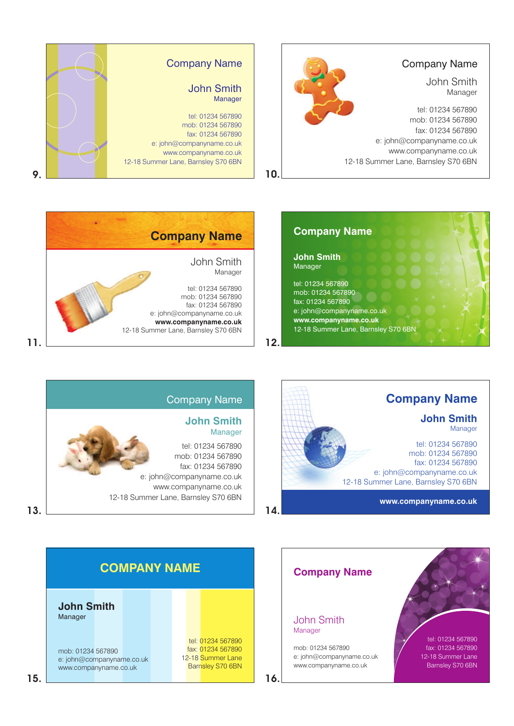







Company Name

tel: 01234 567890 mob: 01234 567890 fax: 01234 567890

John Smith Manager

e: john@companyname.co.uk www.companyname.co.uk

12-18 Summer Lane, Barnsley S70 6BN



13.